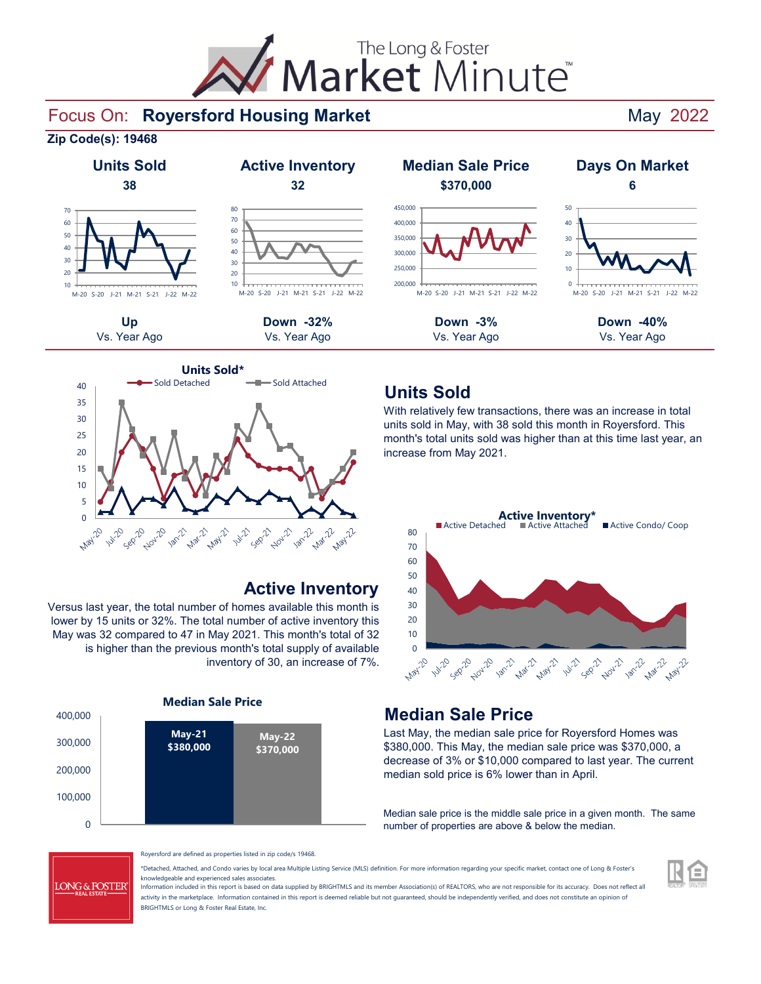

### Focus On: May 2022 **Royersford Housing Market**







## **Active Inventory**

Versus last year, the total number of homes available this month is lower by 15 units or 32%. The total number of active inventory this May was 32 compared to 47 in May 2021. This month's total of 32 is higher than the previous month's total supply of available inventory of 30, an increase of 7%.





## **Units Sold**

With relatively few transactions, there was an increase in total units sold in May, with 38 sold this month in Royersford. This month's total units sold was higher than at this time last year, an increase from May 2021.



## **Median Sale Price**

Last May, the median sale price for Royersford Homes was \$380,000. This May, the median sale price was \$370,000, a decrease of 3% or \$10,000 compared to last year. The current median sold price is 6% lower than in April.

Median sale price is the middle sale price in a given month. The same number of properties are above & below the median.



Royersford are defined as properties listed in zip code/s 19468.

\*Detached, Attached, and Condo varies by local area Multiple Listing Service (MLS) definition. For more information regarding your specific market, contact one of Long & Foster's knowledgeable and experienced sales associates.

Information included in this report is based on data supplied by BRIGHTMLS and its member Association(s) of REALTORS, who are not responsible for its accuracy. Does not reflect all activity in the marketplace. Information contained in this report is deemed reliable but not guaranteed, should be independently verified, and does not constitute an opinion of BRIGHTMLS or Long & Foster Real Estate, Inc.